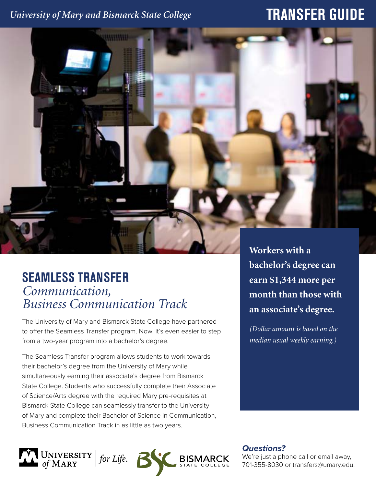### *University of Mary and Bismarck State College*

# **TRANSFER GUIDE**



## **SEAMLESS TRANSFER** *Communication, Business Communication Track*

The University of Mary and Bismarck State College have partnered to offer the Seamless Transfer program. Now, it's even easier to step from a two-year program into a bachelor's degree.

The Seamless Transfer program allows students to work towards their bachelor's degree from the University of Mary while simultaneously earning their associate's degree from Bismarck State College. Students who successfully complete their Associate of Science/Arts degree with the required Mary pre-requisites at Bismarck State College can seamlessly transfer to the University of Mary and complete their Bachelor of Science in Communication, Business Communication Track in as little as two years.



*(Dollar amount is based on the median usual weekly earning.)*



*Questions?*

We're just a phone call or email away, 701-355-8030 or transfers@umary.edu.